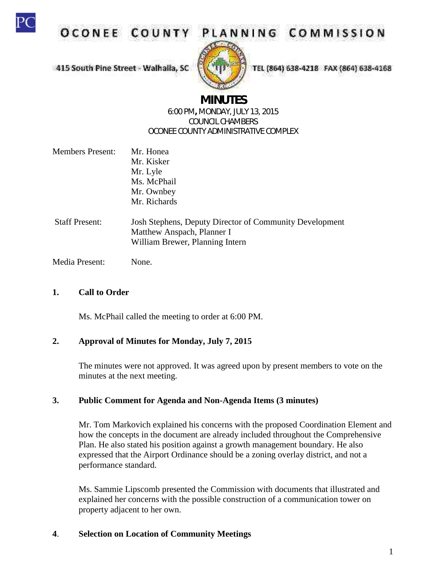

**OCONEE COUNT** 



TEL (864) 638-4218 FAX (864) 638-4168

415 South Pine Street - Walhaila, SC

# **MINUTES**

#### 6:00 PM**,** MONDAY, JULY 13, 2015 COUNCIL CHAMBERS OCONEE COUNTY ADMINISTRATIVE COMPLEX

- Members Present: Mr. Honea Mr. Kisker Mr. Lyle Ms. McPhail Mr. Ownbey Mr. Richards
- Staff Present: Josh Stephens, Deputy Director of Community Development Matthew Anspach, Planner I William Brewer, Planning Intern

Media Present: None.

## **1. Call to Order**

Ms. McPhail called the meeting to order at 6:00 PM.

## **2. Approval of Minutes for Monday, July 7, 2015**

The minutes were not approved. It was agreed upon by present members to vote on the minutes at the next meeting.

# **3. Public Comment for Agenda and Non-Agenda Items (3 minutes)**

Mr. Tom Markovich explained his concerns with the proposed Coordination Element and how the concepts in the document are already included throughout the Comprehensive Plan. He also stated his position against a growth management boundary. He also expressed that the Airport Ordinance should be a zoning overlay district, and not a performance standard.

Ms. Sammie Lipscomb presented the Commission with documents that illustrated and explained her concerns with the possible construction of a communication tower on property adjacent to her own.

# **4**. **Selection on Location of Community Meetings**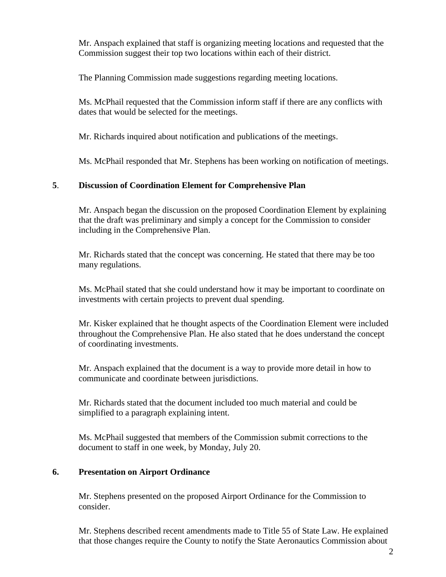Mr. Anspach explained that staff is organizing meeting locations and requested that the Commission suggest their top two locations within each of their district.

The Planning Commission made suggestions regarding meeting locations.

Ms. McPhail requested that the Commission inform staff if there are any conflicts with dates that would be selected for the meetings.

Mr. Richards inquired about notification and publications of the meetings.

Ms. McPhail responded that Mr. Stephens has been working on notification of meetings.

## **5**. **Discussion of Coordination Element for Comprehensive Plan**

Mr. Anspach began the discussion on the proposed Coordination Element by explaining that the draft was preliminary and simply a concept for the Commission to consider including in the Comprehensive Plan.

Mr. Richards stated that the concept was concerning. He stated that there may be too many regulations.

Ms. McPhail stated that she could understand how it may be important to coordinate on investments with certain projects to prevent dual spending.

Mr. Kisker explained that he thought aspects of the Coordination Element were included throughout the Comprehensive Plan. He also stated that he does understand the concept of coordinating investments.

Mr. Anspach explained that the document is a way to provide more detail in how to communicate and coordinate between jurisdictions.

Mr. Richards stated that the document included too much material and could be simplified to a paragraph explaining intent.

Ms. McPhail suggested that members of the Commission submit corrections to the document to staff in one week, by Monday, July 20.

## **6. Presentation on Airport Ordinance**

Mr. Stephens presented on the proposed Airport Ordinance for the Commission to consider.

Mr. Stephens described recent amendments made to Title 55 of State Law. He explained that those changes require the County to notify the State Aeronautics Commission about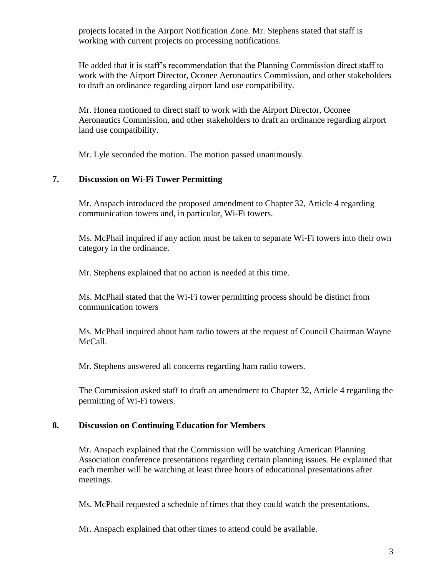projects located in the Airport Notification Zone. Mr. Stephens stated that staff is working with current projects on processing notifications.

He added that it is staff's recommendation that the Planning Commission direct staff to work with the Airport Director, Oconee Aeronautics Commission, and other stakeholders to draft an ordinance regarding airport land use compatibility.

Mr. Honea motioned to direct staff to work with the Airport Director, Oconee Aeronautics Commission, and other stakeholders to draft an ordinance regarding airport land use compatibility.

Mr. Lyle seconded the motion. The motion passed unanimously.

#### **7. Discussion on Wi-Fi Tower Permitting**

Mr. Anspach introduced the proposed amendment to Chapter 32, Article 4 regarding communication towers and, in particular, Wi-Fi towers.

Ms. McPhail inquired if any action must be taken to separate Wi-Fi towers into their own category in the ordinance.

Mr. Stephens explained that no action is needed at this time.

Ms. McPhail stated that the Wi-Fi tower permitting process should be distinct from communication towers

Ms. McPhail inquired about ham radio towers at the request of Council Chairman Wayne McCall.

Mr. Stephens answered all concerns regarding ham radio towers.

The Commission asked staff to draft an amendment to Chapter 32, Article 4 regarding the permitting of Wi-Fi towers.

#### **8. Discussion on Continuing Education for Members**

Mr. Anspach explained that the Commission will be watching American Planning Association conference presentations regarding certain planning issues. He explained that each member will be watching at least three hours of educational presentations after meetings.

Ms. McPhail requested a schedule of times that they could watch the presentations.

Mr. Anspach explained that other times to attend could be available.